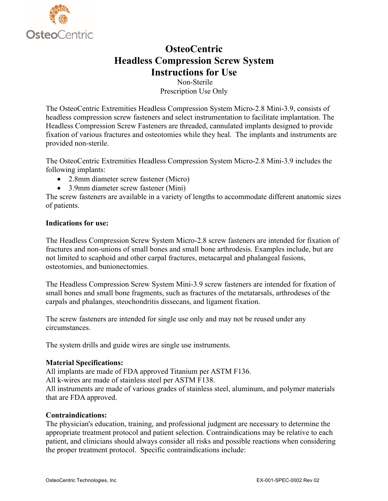

# **OsteoCentric Headless Compression Screw System Instructions for Use**

Non-Sterile Prescription Use Only

The OsteoCentric Extremities Headless Compression System Micro-2.8 Mini-3.9, consists of headless compression screw fasteners and select instrumentation to facilitate implantation. The Headless Compression Screw Fasteners are threaded, cannulated implants designed to provide fixation of various fractures and osteotomies while they heal. The implants and instruments are provided non-sterile.

The OsteoCentric Extremities Headless Compression System Micro-2.8 Mini-3.9 includes the following implants:

- 2.8mm diameter screw fastener (Micro)
- 3.9mm diameter screw fastener (Mini)

The screw fasteners are available in a variety of lengths to accommodate different anatomic sizes of patients.

## **Indications for use:**

The Headless Compression Screw System Micro-2.8 screw fasteners are intended for fixation of fractures and non-unions of small bones and small bone arthrodesis. Examples include, but are not limited to scaphoid and other carpal fractures, metacarpal and phalangeal fusions, osteotomies, and bunionectomies.

The Headless Compression Screw System Mini-3.9 screw fasteners are intended for fixation of small bones and small bone fragments, such as fractures of the metatarsals, arthrodeses of the carpals and phalanges, steochondritis dissecans, and ligament fixation.

The screw fasteners are intended for single use only and may not be reused under any circumstances.

The system drills and guide wires are single use instruments.

## **Material Specifications:**

All implants are made of FDA approved Titanium per ASTM F136.

All k-wires are made of stainless steel per ASTM F138.

All instruments are made of various grades of stainless steel, aluminum, and polymer materials that are FDA approved.

## **Contraindications:**

The physician's education, training, and professional judgment are necessary to determine the appropriate treatment protocol and patient selection. Contraindications may be relative to each patient, and clinicians should always consider all risks and possible reactions when considering the proper treatment protocol. Specific contraindications include: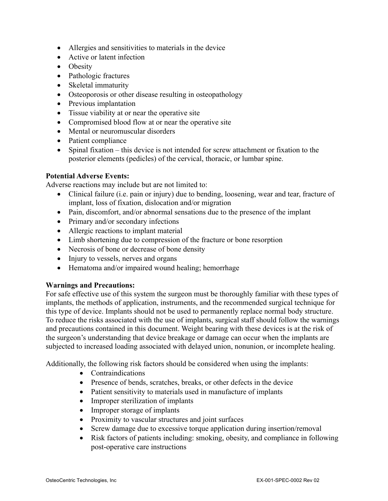- Allergies and sensitivities to materials in the device
- Active or latent infection
- Obesity
- Pathologic fractures
- Skeletal immaturity
- Osteoporosis or other disease resulting in osteopathology
- Previous implantation
- Tissue viability at or near the operative site
- Compromised blood flow at or near the operative site
- Mental or neuromuscular disorders
- Patient compliance
- Spinal fixation this device is not intended for screw attachment or fixation to the posterior elements (pedicles) of the cervical, thoracic, or lumbar spine.

## **Potential Adverse Events:**

Adverse reactions may include but are not limited to:

- Clinical failure (i.e. pain or injury) due to bending, loosening, wear and tear, fracture of implant, loss of fixation, dislocation and/or migration
- Pain, discomfort, and/or abnormal sensations due to the presence of the implant
- Primary and/or secondary infections
- Allergic reactions to implant material
- Limb shortening due to compression of the fracture or bone resorption
- Necrosis of bone or decrease of bone density
- Injury to vessels, nerves and organs
- Hematoma and/or impaired wound healing; hemorrhage

## **Warnings and Precautions:**

For safe effective use of this system the surgeon must be thoroughly familiar with these types of implants, the methods of application, instruments, and the recommended surgical technique for this type of device. Implants should not be used to permanently replace normal body structure. To reduce the risks associated with the use of implants, surgical staff should follow the warnings and precautions contained in this document. Weight bearing with these devices is at the risk of the surgeon's understanding that device breakage or damage can occur when the implants are subjected to increased loading associated with delayed union, nonunion, or incomplete healing.

Additionally, the following risk factors should be considered when using the implants:

- Contraindications
- Presence of bends, scratches, breaks, or other defects in the device
- Patient sensitivity to materials used in manufacture of implants
- Improper sterilization of implants
- Improper storage of implants
- Proximity to vascular structures and joint surfaces
- Screw damage due to excessive torque application during insertion/removal
- Risk factors of patients including: smoking, obesity, and compliance in following post-operative care instructions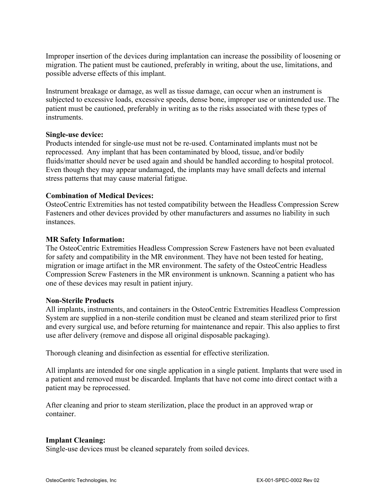Improper insertion of the devices during implantation can increase the possibility of loosening or migration. The patient must be cautioned, preferably in writing, about the use, limitations, and possible adverse effects of this implant.

Instrument breakage or damage, as well as tissue damage, can occur when an instrument is subjected to excessive loads, excessive speeds, dense bone, improper use or unintended use. The patient must be cautioned, preferably in writing as to the risks associated with these types of instruments.

## **Single-use device:**

Products intended for single-use must not be re-used. Contaminated implants must not be reprocessed. Any implant that has been contaminated by blood, tissue, and/or bodily fluids/matter should never be used again and should be handled according to hospital protocol. Even though they may appear undamaged, the implants may have small defects and internal stress patterns that may cause material fatigue.

## **Combination of Medical Devices:**

OsteoCentric Extremities has not tested compatibility between the Headless Compression Screw Fasteners and other devices provided by other manufacturers and assumes no liability in such instances.

## **MR Safety Information:**

The OsteoCentric Extremities Headless Compression Screw Fasteners have not been evaluated for safety and compatibility in the MR environment. They have not been tested for heating, migration or image artifact in the MR environment. The safety of the OsteoCentric Headless Compression Screw Fasteners in the MR environment is unknown. Scanning a patient who has one of these devices may result in patient injury.

#### **Non-Sterile Products**

All implants, instruments, and containers in the OsteoCentric Extremities Headless Compression System are supplied in a non-sterile condition must be cleaned and steam sterilized prior to first and every surgical use, and before returning for maintenance and repair. This also applies to first use after delivery (remove and dispose all original disposable packaging).

Thorough cleaning and disinfection as essential for effective sterilization.

All implants are intended for one single application in a single patient. Implants that were used in a patient and removed must be discarded. Implants that have not come into direct contact with a patient may be reprocessed.

After cleaning and prior to steam sterilization, place the product in an approved wrap or container.

## **Implant Cleaning:**

Single-use devices must be cleaned separately from soiled devices.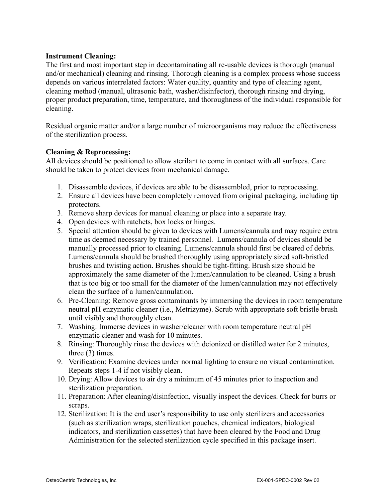## **Instrument Cleaning:**

The first and most important step in decontaminating all re-usable devices is thorough (manual and/or mechanical) cleaning and rinsing. Thorough cleaning is a complex process whose success depends on various interrelated factors: Water quality, quantity and type of cleaning agent, cleaning method (manual, ultrasonic bath, washer/disinfector), thorough rinsing and drying, proper product preparation, time, temperature, and thoroughness of the individual responsible for cleaning.

Residual organic matter and/or a large number of microorganisms may reduce the effectiveness of the sterilization process.

## **Cleaning & Reprocessing:**

All devices should be positioned to allow sterilant to come in contact with all surfaces. Care should be taken to protect devices from mechanical damage.

- 1. Disassemble devices, if devices are able to be disassembled, prior to reprocessing.
- 2. Ensure all devices have been completely removed from original packaging, including tip protectors.
- 3. Remove sharp devices for manual cleaning or place into a separate tray.
- 4. Open devices with ratchets, box locks or hinges.
- 5. Special attention should be given to devices with Lumens/cannula and may require extra time as deemed necessary by trained personnel. Lumens/cannula of devices should be manually processed prior to cleaning. Lumens/cannula should first be cleared of debris. Lumens/cannula should be brushed thoroughly using appropriately sized soft-bristled brushes and twisting action. Brushes should be tight-fitting. Brush size should be approximately the same diameter of the lumen/cannulation to be cleaned. Using a brush that is too big or too small for the diameter of the lumen/cannulation may not effectively clean the surface of a lumen/cannulation.
- 6. Pre-Cleaning: Remove gross contaminants by immersing the devices in room temperature neutral pH enzymatic cleaner (i.e., Metrizyme). Scrub with appropriate soft bristle brush until visibly and thoroughly clean.
- 7. Washing: Immerse devices in washer/cleaner with room temperature neutral pH enzymatic cleaner and wash for 10 minutes.
- 8. Rinsing: Thoroughly rinse the devices with deionized or distilled water for 2 minutes, three (3) times.
- 9. Verification: Examine devices under normal lighting to ensure no visual contamination. Repeats steps 1-4 if not visibly clean.
- 10. Drying: Allow devices to air dry a minimum of 45 minutes prior to inspection and sterilization preparation.
- 11. Preparation: After cleaning/disinfection, visually inspect the devices. Check for burrs or scraps.
- 12. Sterilization: It is the end user's responsibility to use only sterilizers and accessories (such as sterilization wraps, sterilization pouches, chemical indicators, biological indicators, and sterilization cassettes) that have been cleared by the Food and Drug Administration for the selected sterilization cycle specified in this package insert.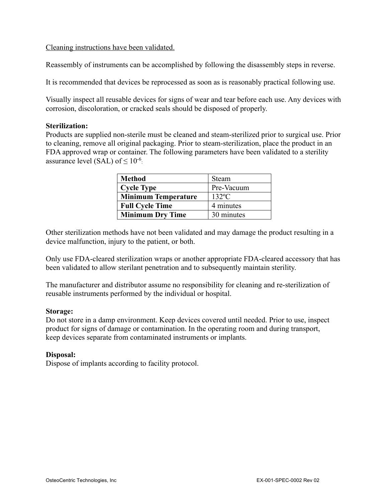## Cleaning instructions have been validated.

Reassembly of instruments can be accomplished by following the disassembly steps in reverse.

It is recommended that devices be reprocessed as soon as is reasonably practical following use.

Visually inspect all reusable devices for signs of wear and tear before each use. Any devices with corrosion, discoloration, or cracked seals should be disposed of properly.

#### **Sterilization:**

Products are supplied non-sterile must be cleaned and steam-sterilized prior to surgical use. Prior to cleaning, remove all original packaging. Prior to steam-sterilization, place the product in an FDA approved wrap or container. The following parameters have been validated to a sterility assurance level (SAL) of  $\leq 10^{-6}$ .

| <b>Method</b>              | Steam           |
|----------------------------|-----------------|
| <b>Cycle Type</b>          | Pre-Vacuum      |
| <b>Minimum Temperature</b> | $132^{\circ}$ C |
| <b>Full Cycle Time</b>     | 4 minutes       |
| <b>Minimum Dry Time</b>    | 30 minutes      |

Other sterilization methods have not been validated and may damage the product resulting in a device malfunction, injury to the patient, or both.

Only use FDA-cleared sterilization wraps or another appropriate FDA-cleared accessory that has been validated to allow sterilant penetration and to subsequently maintain sterility.

The manufacturer and distributor assume no responsibility for cleaning and re-sterilization of reusable instruments performed by the individual or hospital.

#### **Storage:**

Do not store in a damp environment. Keep devices covered until needed. Prior to use, inspect product for signs of damage or contamination. In the operating room and during transport, keep devices separate from contaminated instruments or implants.

#### **Disposal:**

Dispose of implants according to facility protocol.